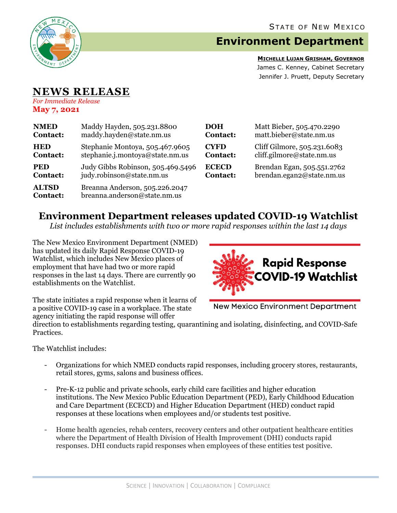

# **Environment Department**

**MICHELLE LUJAN GRISHAM, GOVERNOR** James C. Kenney, Cabinet Secretary Jennifer J. Pruett, Deputy Secretary

#### **NEWS RELEASE** *For Immediate Release*

**May 7, 2021**

| <b>NMED</b>                     | Maddy Hayden, 505.231.8800                                     | <b>DOH</b>      | Matt Bieber, 505.470.2290   |
|---------------------------------|----------------------------------------------------------------|-----------------|-----------------------------|
| <b>Contact:</b>                 | maddy.hayden@state.nm.us                                       | <b>Contact:</b> | matt.bieber@state.nm.us     |
| <b>HED</b>                      | Stephanie Montoya, 505.467.9605                                | <b>CYFD</b>     | Cliff Gilmore, 505.231.6083 |
| <b>Contact:</b>                 | stephanie.j.montoya@state.nm.us                                | <b>Contact:</b> | cliff.gilmore@state.nm.us   |
| <b>PED</b>                      | Judy Gibbs Robinson, 505.469.5496                              | <b>ECECD</b>    | Brendan Egan, 505.551.2762  |
| <b>Contact:</b>                 | judy.robinson@state.nm.us                                      | <b>Contact:</b> | brendan.egan2@state.nm.us   |
| <b>ALTSD</b><br><b>Contact:</b> | Breanna Anderson, 505.226.2047<br>breanna.anderson@state.nm.us |                 |                             |

## **Environment Department releases updated COVID-19 Watchlist**

*List includes establishments with two or more rapid responses within the last 14 days*

The New Mexico Environment Department (NMED) has updated its daily Rapid Response COVID-19 Watchlist, which includes New Mexico places of employment that have had two or more rapid responses in the last 14 days. There are currently 90 establishments on the Watchlist.



The state initiates a rapid response when it learns of a positive COVID-19 case in a workplace. The state agency initiating the rapid response will offer

**New Mexico Environment Department** 

direction to establishments regarding testing, quarantining and isolating, disinfecting, and COVID-Safe Practices.

The Watchlist includes:

- Organizations for which NMED conducts rapid responses, including grocery stores, restaurants, retail stores, gyms, salons and business offices.
- Pre-K-12 public and private schools, early child care facilities and higher education institutions. The New Mexico Public Education Department (PED), Early Childhood Education and Care Department (ECECD) and Higher Education Department (HED) conduct rapid responses at these locations when employees and/or students test positive.
- Home health agencies, rehab centers, recovery centers and other outpatient healthcare entities where the Department of Health Division of Health Improvement (DHI) conducts rapid responses. DHI conducts rapid responses when employees of these entities test positive.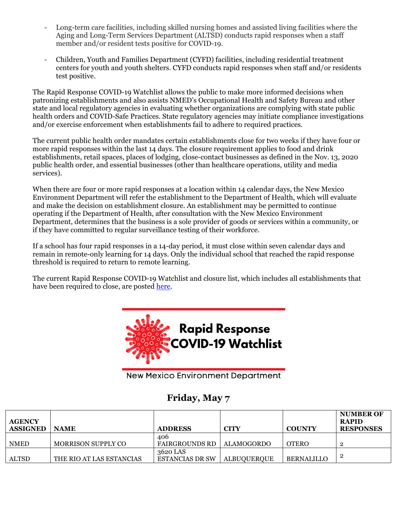- Long-term care facilities, including skilled nursing homes and assisted living facilities where the Aging and Long-Term Services Department (ALTSD) conducts rapid responses when a staff member and/or resident tests positive for COVID-19.
- Children, Youth and Families Department (CYFD) facilities, including residential treatment centers for youth and youth shelters. CYFD conducts rapid responses when staff and/or residents test positive.

The Rapid Response COVID-19 Watchlist allows the public to make more informed decisions when patronizing establishments and also assists NMED's Occupational Health and Safety Bureau and other state and local regulatory agencies in evaluating whether organizations are complying with state public health orders and COVID-Safe Practices. State regulatory agencies may initiate compliance investigations and/or exercise enforcement when establishments fail to adhere to required practices.

The current public health order mandates certain establishments close for two weeks if they have four or more rapid responses within the last 14 days. The closure requirement applies to food and drink establishments, retail spaces, places of lodging, close-contact businesses as defined in the Nov. 13, 2020 public health order, and essential businesses (other than healthcare operations, utility and media services).

When there are four or more rapid responses at a location within 14 calendar days, the New Mexico Environment Department will refer the establishment to the Department of Health, which will evaluate and make the decision on establishment closure. An establishment may be permitted to continue operating if the Department of Health, after consultation with the New Mexico Environment Department, determines that the business is a sole provider of goods or services within a community, or if they have committed to regular surveillance testing of their workforce.

If a school has four rapid responses in a 14-day period, it must close within seven calendar days and remain in remote-only learning for 14 days. Only the individual school that reached the rapid response threshold is required to return to remote learning.

The current Rapid Response COVID-19 Watchlist and closure list, which includes all establishments that have been required to close, are posted [here.](https://www.env.nm.gov/rapid-response-data/)



**New Mexico Environment Department** 

### **Friday, May 7**

| <b>AGENCY</b><br><b>ASSIGNED</b> | <b>NAME</b>               | <b>ADDRESS</b>         | <b>CITY</b>        | <b>COUNTY</b>     | <b>NUMBER OF</b><br><b>RAPID</b><br><b>RESPONSES</b> |
|----------------------------------|---------------------------|------------------------|--------------------|-------------------|------------------------------------------------------|
|                                  |                           | 406                    |                    |                   |                                                      |
| <b>NMED</b>                      | <b>MORRISON SUPPLY CO</b> | FAIRGROUNDS RD         | <b>ALAMOGORDO</b>  | <b>OTERO</b>      |                                                      |
|                                  |                           | 3620 LAS               |                    |                   |                                                      |
| ALTSD                            | THE RIO AT LAS ESTANCIAS  | <b>ESTANCIAS DR SW</b> | <b>ALBUQUERQUE</b> | <b>BERNALILLO</b> |                                                      |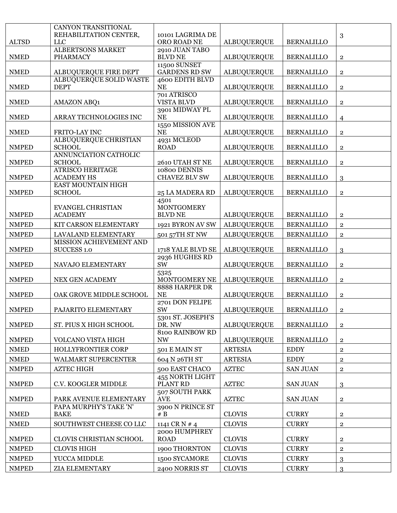| <b>ALTSD</b> | CANYON TRANSITIONAL<br>REHABILITATION CENTER,<br><b>LLC</b> | 10101 LAGRIMA DE<br>ORO ROAD NE             | <b>ALBUQUERQUE</b> | <b>BERNALILLO</b> | 3                       |
|--------------|-------------------------------------------------------------|---------------------------------------------|--------------------|-------------------|-------------------------|
| <b>NMED</b>  | <b>ALBERTSONS MARKET</b><br><b>PHARMACY</b>                 | 2910 JUAN TABO<br><b>BLVD NE</b>            | <b>ALBUQUERQUE</b> | <b>BERNALILLO</b> | $\mathbf 2$             |
| <b>NMED</b>  | ALBUQUERQUE FIRE DEPT                                       | <b>11500 SUNSET</b><br><b>GARDENS RD SW</b> | <b>ALBUQUERQUE</b> | <b>BERNALILLO</b> | $\mathbf{2}$            |
| <b>NMED</b>  | <b>ALBUQUERQUE SOLID WASTE</b><br><b>DEPT</b>               | 4600 EDITH BLVD<br><b>NE</b>                | <b>ALBUQUERQUE</b> | <b>BERNALILLO</b> | $\overline{2}$          |
| <b>NMED</b>  | <b>AMAZON ABQ1</b>                                          | 701 ATRISCO<br><b>VISTA BLVD</b>            | <b>ALBUQUERQUE</b> | <b>BERNALILLO</b> | $\overline{2}$          |
| <b>NMED</b>  | ARRAY TECHNOLOGIES INC                                      | 3901 MIDWAY PL<br><b>NE</b>                 | <b>ALBUQUERQUE</b> | <b>BERNALILLO</b> | $\overline{4}$          |
| <b>NMED</b>  | FRITO-LAY INC                                               | 1550 MISSION AVE<br><b>NE</b>               | <b>ALBUQUERQUE</b> | <b>BERNALILLO</b> | $\mathbf{2}$            |
| <b>NMPED</b> | ALBUQUERQUE CHRISTIAN<br><b>SCHOOL</b>                      | 4931 MCLEOD<br><b>ROAD</b>                  | <b>ALBUQUERQUE</b> | <b>BERNALILLO</b> | $\overline{\mathbf{2}}$ |
| <b>NMPED</b> | ANNUNCIATION CATHOLIC<br><b>SCHOOL</b>                      | 2610 UTAH ST NE                             | <b>ALBUQUERQUE</b> | <b>BERNALILLO</b> | $\overline{2}$          |
| <b>NMPED</b> | <b>ATRISCO HERITAGE</b><br><b>ACADEMY HS</b>                | 10800 DENNIS<br><b>CHAVEZ BLV SW</b>        | <b>ALBUQUERQUE</b> | <b>BERNALILLO</b> | 3                       |
| <b>NMPED</b> | EAST MOUNTAIN HIGH<br><b>SCHOOL</b>                         | 25 LA MADERA RD                             | <b>ALBUQUERQUE</b> | <b>BERNALILLO</b> | $\overline{2}$          |
|              | <b>EVANGEL CHRISTIAN</b>                                    | 4501<br><b>MONTGOMERY</b>                   |                    |                   |                         |
| <b>NMPED</b> | <b>ACADEMY</b>                                              | <b>BLVD NE</b>                              | <b>ALBUQUERQUE</b> | <b>BERNALILLO</b> | $\overline{2}$          |
| <b>NMPED</b> | KIT CARSON ELEMENTARY                                       | 1921 BYRON AV SW                            | <b>ALBUQUERQUE</b> | <b>BERNALILLO</b> | $\mathbf{2}$            |
| <b>NMPED</b> | LAVALAND ELEMENTARY                                         | 501 57TH ST NW                              | <b>ALBUQUERQUE</b> | <b>BERNALILLO</b> | $\overline{2}$          |
| <b>NMPED</b> | MISSION ACHIEVEMENT AND<br><b>SUCCESS 1.0</b>               | 1718 YALE BLVD SE                           | <b>ALBUQUERQUE</b> | <b>BERNALILLO</b> | 3                       |
| <b>NMPED</b> | NAVAJO ELEMENTARY                                           | 2936 HUGHES RD<br>SW                        | <b>ALBUQUERQUE</b> | <b>BERNALILLO</b> | $\mathbf{2}$            |
| <b>NMPED</b> | NEX GEN ACADEMY                                             | 5325<br>MONTGOMERY NE                       | <b>ALBUQUERQUE</b> | <b>BERNALILLO</b> | $\mathbf 2$             |
| <b>NMPED</b> | OAK GROVE MIDDLE SCHOOL                                     | 8888 HARPER DR<br><b>NE</b>                 | <b>ALBUQUERQUE</b> | <b>BERNALILLO</b> | $\overline{2}$          |
| <b>NMPED</b> | PAJARITO ELEMENTARY                                         | 2701 DON FELIPE<br>SW                       | <b>ALBUQUERQUE</b> | <b>BERNALILLO</b> | $\mathbf{2}$            |
| <b>NMPED</b> | ST. PIUS X HIGH SCHOOL                                      | 5301 ST. JOSEPH'S<br>DR. NW                 | <b>ALBUQUERQUE</b> | <b>BERNALILLO</b> | $\overline{2}$          |
| <b>NMPED</b> | VOLCANO VISTA HIGH                                          | <b>8100 RAINBOW RD</b><br><b>NW</b>         | <b>ALBUQUERQUE</b> | <b>BERNALILLO</b> | $\mathbf 2$             |
| <b>NMED</b>  | HOLLYFRONTIER CORP                                          | 501 E MAIN ST                               | <b>ARTESIA</b>     | <b>EDDY</b>       | $\bf 2$                 |
| <b>NMED</b>  | WALMART SUPERCENTER                                         | 604 N 26TH ST                               | <b>ARTESIA</b>     | <b>EDDY</b>       | $\mathbf 2$             |
| <b>NMPED</b> | <b>AZTEC HIGH</b>                                           | 500 EAST CHACO                              | <b>AZTEC</b>       | <b>SAN JUAN</b>   | $\bf 2$                 |
| <b>NMPED</b> | C.V. KOOGLER MIDDLE                                         | 455 NORTH LIGHT<br>PLANT RD                 | <b>AZTEC</b>       | <b>SAN JUAN</b>   | 3                       |
| <b>NMPED</b> | PARK AVENUE ELEMENTARY                                      | 507 SOUTH PARK<br><b>AVE</b>                | <b>AZTEC</b>       | <b>SAN JUAN</b>   | $\overline{2}$          |
| <b>NMED</b>  | PAPA MURPHY'S TAKE 'N'<br><b>BAKE</b>                       | 3900 N PRINCE ST<br># $B$                   | <b>CLOVIS</b>      | <b>CURRY</b>      | $\overline{2}$          |
| <b>NMED</b>  | SOUTHWEST CHEESE CO LLC                                     | 1141 CR N # 4                               | <b>CLOVIS</b>      | <b>CURRY</b>      | $\overline{2}$          |
| <b>NMPED</b> | CLOVIS CHRISTIAN SCHOOL                                     | 2000 HUMPHREY<br><b>ROAD</b>                | <b>CLOVIS</b>      | <b>CURRY</b>      | $\overline{2}$          |
| <b>NMPED</b> | <b>CLOVIS HIGH</b>                                          | 1900 THORNTON                               | <b>CLOVIS</b>      | <b>CURRY</b>      | $\mathbf{2}$            |
| <b>NMPED</b> | YUCCA MIDDLE                                                | 1500 SYCAMORE                               | <b>CLOVIS</b>      | <b>CURRY</b>      | 3                       |
| <b>NMPED</b> | ZIA ELEMENTARY                                              | 2400 NORRIS ST                              | <b>CLOVIS</b>      | <b>CURRY</b>      | 3                       |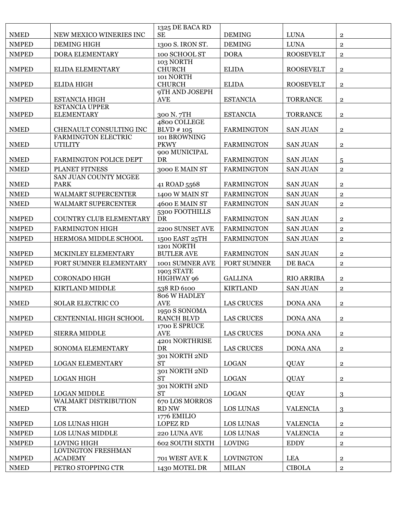| <b>NMPED</b><br><b>LUNA</b><br><b>DEMING HIGH</b><br>1300 S. IRON ST.<br><b>DEMING</b><br>$\overline{2}$<br><b>DORA</b><br><b>NMPED</b><br>DORA ELEMENTARY<br>100 SCHOOL ST<br><b>ROOSEVELT</b><br>$\overline{2}$<br>103 NORTH<br><b>CHURCH</b><br><b>NMPED</b><br><b>ELIDA</b><br><b>ROOSEVELT</b><br>ELIDA ELEMENTARY<br>$\overline{2}$<br>101 NORTH<br><b>NMPED</b><br><b>CHURCH</b><br><b>ELIDA</b><br><b>ROOSEVELT</b><br><b>ELIDA HIGH</b><br>$\overline{2}$<br>9TH AND JOSEPH<br><b>NMPED</b><br><b>ESTANCIA HIGH</b><br><b>AVE</b><br><b>ESTANCIA</b><br><b>TORRANCE</b><br>$\overline{2}$<br><b>ESTANCIA UPPER</b><br><b>NMPED</b><br><b>ELEMENTARY</b><br>300 N.7TH<br><b>ESTANCIA</b><br><b>TORRANCE</b><br>$\overline{2}$<br>4800 COLLEGE<br>$BLVD \# 105$<br><b>NMED</b><br>CHENAULT CONSULTING INC<br><b>FARMINGTON</b><br><b>SAN JUAN</b><br>$\mathbf 2$<br>FARMINGTON ELECTRIC<br>101 BROWNING<br><b>PKWY</b><br><b>NMED</b><br><b>UTILITY</b><br><b>FARMINGTON</b><br><b>SAN JUAN</b><br>$\mathbf{2}$<br>900 MUNICIPAL<br><b>NMED</b><br><b>DR</b><br>FARMINGTON POLICE DEPT<br><b>FARMINGTON</b><br><b>SAN JUAN</b><br>5<br><b>NMED</b><br>PLANET FITNESS<br>3000 E MAIN ST<br><b>FARMINGTON</b><br><b>SAN JUAN</b><br>$\overline{2}$<br>SAN JUAN COUNTY MCGEE<br><b>NMED</b><br><b>PARK</b><br>41 ROAD 5568<br><b>FARMINGTON</b><br><b>SAN JUAN</b><br>$\overline{2}$<br><b>NMED</b><br>WALMART SUPERCENTER<br>1400 W MAIN ST<br><b>FARMINGTON</b><br><b>SAN JUAN</b><br>$\overline{2}$<br><b>NMED</b><br>4600 E MAIN ST<br><b>FARMINGTON</b><br>WALMART SUPERCENTER<br><b>SAN JUAN</b><br>$\mathbf{2}$<br>5300 FOOTHILLS<br><b>NMPED</b><br>COUNTRY CLUB ELEMENTARY<br>DR<br><b>FARMINGTON</b><br><b>SAN JUAN</b><br>$\mathbf{2}$<br><b>NMPED</b><br><b>FARMINGTON HIGH</b><br>2200 SUNSET AVE<br><b>FARMINGTON</b><br><b>SAN JUAN</b><br>$\overline{2}$<br><b>NMPED</b><br>HERMOSA MIDDLE SCHOOL<br><b>FARMINGTON</b><br>1500 EAST 25TH<br><b>SAN JUAN</b><br>$\overline{2}$<br>1201 NORTH<br><b>NMPED</b><br><b>BUTLER AVE</b><br>MCKINLEY ELEMENTARY<br><b>FARMINGTON</b><br><b>SAN JUAN</b><br>$\mathbf{2}$<br><b>NMPED</b><br>FORT SUMNER ELEMENTARY<br>1001 SUMNER AVE<br><b>FORT SUMNER</b><br>DE BACA<br>$\overline{2}$<br><b>1903 STATE</b><br><b>NMPED</b><br><b>CORONADO HIGH</b><br>HIGHWAY 96<br><b>GALLINA</b><br><b>RIO ARRIBA</b><br>$\overline{2}$<br><b>NMPED</b><br><b>KIRTLAND</b><br>KIRTLAND MIDDLE<br>538 RD 6100<br><b>SAN JUAN</b><br>$\overline{2}$<br>806 W HADLEY<br><b>NMED</b><br><b>SOLAR ELECTRIC CO</b><br><b>AVE</b><br><b>LAS CRUCES</b><br><b>DONA ANA</b><br>$\mathbf{2}$<br>1950 S SONOMA<br><b>DONA ANA</b><br><b>NMPED</b><br>CENTENNIAL HIGH SCHOOL<br><b>RANCH BLVD</b><br><b>LAS CRUCES</b><br>$\mathbf 2$<br>1700 E SPRUCE<br><b>NMPED</b><br><b>AVE</b><br><b>LAS CRUCES</b><br><b>SIERRA MIDDLE</b><br><b>DONA ANA</b><br>$\mathbf{2}$<br>4201 NORTHRISE<br><b>NMPED</b><br><b>DR</b><br><b>LAS CRUCES</b><br>SONOMA ELEMENTARY<br><b>DONA ANA</b><br>$\overline{2}$<br>301 NORTH 2ND<br><b>NMPED</b><br><b>LOGAN ELEMENTARY</b><br><b>ST</b><br><b>LOGAN</b><br><b>QUAY</b><br>$\overline{2}$<br>301 NORTH 2ND<br><b>ST</b><br><b>NMPED</b><br><b>LOGAN HIGH</b><br><b>LOGAN</b><br><b>QUAY</b><br>$\overline{2}$<br>301 NORTH 2ND<br><b>ST</b><br><b>NMPED</b><br><b>LOGAN MIDDLE</b><br><b>LOGAN</b><br><b>QUAY</b><br>3<br>670 LOS MORROS<br><b>WALMART DISTRIBUTION</b><br><b>NMED</b><br>RD NW<br><b>CTR</b><br><b>LOS LUNAS</b><br><b>VALENCIA</b><br>3<br>1776 EMILIO<br><b>NMPED</b><br>LOS LUNAS HIGH<br><b>LOPEZ RD</b><br><b>LOS LUNAS</b><br><b>VALENCIA</b><br>$\overline{2}$<br><b>NMPED</b><br>LOS LUNAS MIDDLE<br>220 LUNA AVE<br>LOS LUNAS<br><b>VALENCIA</b><br>$\overline{2}$<br><b>NMPED</b><br>LOVING HIGH<br><b>LOVING</b><br><b>EDDY</b><br>602 SOUTH SIXTH<br>$\mathbf 2$<br>LOVINGTON FRESHMAN<br><b>NMPED</b><br><b>ACADEMY</b><br><b>LEA</b><br>701 WEST AVE K<br><b>LOVINGTON</b><br>$\overline{\mathbf{2}}$ |             |                         | 1325 DE BACA RD |               |               |                |
|-------------------------------------------------------------------------------------------------------------------------------------------------------------------------------------------------------------------------------------------------------------------------------------------------------------------------------------------------------------------------------------------------------------------------------------------------------------------------------------------------------------------------------------------------------------------------------------------------------------------------------------------------------------------------------------------------------------------------------------------------------------------------------------------------------------------------------------------------------------------------------------------------------------------------------------------------------------------------------------------------------------------------------------------------------------------------------------------------------------------------------------------------------------------------------------------------------------------------------------------------------------------------------------------------------------------------------------------------------------------------------------------------------------------------------------------------------------------------------------------------------------------------------------------------------------------------------------------------------------------------------------------------------------------------------------------------------------------------------------------------------------------------------------------------------------------------------------------------------------------------------------------------------------------------------------------------------------------------------------------------------------------------------------------------------------------------------------------------------------------------------------------------------------------------------------------------------------------------------------------------------------------------------------------------------------------------------------------------------------------------------------------------------------------------------------------------------------------------------------------------------------------------------------------------------------------------------------------------------------------------------------------------------------------------------------------------------------------------------------------------------------------------------------------------------------------------------------------------------------------------------------------------------------------------------------------------------------------------------------------------------------------------------------------------------------------------------------------------------------------------------------------------------------------------------------------------------------------------------------------------------------------------------------------------------------------------------------------------------------------------------------------------------------------------------------------------------------------------------------------------------------------------------------------------------------------------------------------------------------------------------------------------------------------------------------------------------------------------------------------------------------------------------------------------------------------------------------------------------------------------------------------------------------------------------------------------------------------------------------------------------------|-------------|-------------------------|-----------------|---------------|---------------|----------------|
|                                                                                                                                                                                                                                                                                                                                                                                                                                                                                                                                                                                                                                                                                                                                                                                                                                                                                                                                                                                                                                                                                                                                                                                                                                                                                                                                                                                                                                                                                                                                                                                                                                                                                                                                                                                                                                                                                                                                                                                                                                                                                                                                                                                                                                                                                                                                                                                                                                                                                                                                                                                                                                                                                                                                                                                                                                                                                                                                                                                                                                                                                                                                                                                                                                                                                                                                                                                                                                                                                                                                                                                                                                                                                                                                                                                                                                                                                                                                                                                                             | <b>NMED</b> | NEW MEXICO WINERIES INC | <b>SE</b>       | <b>DEMING</b> | <b>LUNA</b>   | $\mathbf{2}$   |
|                                                                                                                                                                                                                                                                                                                                                                                                                                                                                                                                                                                                                                                                                                                                                                                                                                                                                                                                                                                                                                                                                                                                                                                                                                                                                                                                                                                                                                                                                                                                                                                                                                                                                                                                                                                                                                                                                                                                                                                                                                                                                                                                                                                                                                                                                                                                                                                                                                                                                                                                                                                                                                                                                                                                                                                                                                                                                                                                                                                                                                                                                                                                                                                                                                                                                                                                                                                                                                                                                                                                                                                                                                                                                                                                                                                                                                                                                                                                                                                                             |             |                         |                 |               |               |                |
|                                                                                                                                                                                                                                                                                                                                                                                                                                                                                                                                                                                                                                                                                                                                                                                                                                                                                                                                                                                                                                                                                                                                                                                                                                                                                                                                                                                                                                                                                                                                                                                                                                                                                                                                                                                                                                                                                                                                                                                                                                                                                                                                                                                                                                                                                                                                                                                                                                                                                                                                                                                                                                                                                                                                                                                                                                                                                                                                                                                                                                                                                                                                                                                                                                                                                                                                                                                                                                                                                                                                                                                                                                                                                                                                                                                                                                                                                                                                                                                                             |             |                         |                 |               |               |                |
|                                                                                                                                                                                                                                                                                                                                                                                                                                                                                                                                                                                                                                                                                                                                                                                                                                                                                                                                                                                                                                                                                                                                                                                                                                                                                                                                                                                                                                                                                                                                                                                                                                                                                                                                                                                                                                                                                                                                                                                                                                                                                                                                                                                                                                                                                                                                                                                                                                                                                                                                                                                                                                                                                                                                                                                                                                                                                                                                                                                                                                                                                                                                                                                                                                                                                                                                                                                                                                                                                                                                                                                                                                                                                                                                                                                                                                                                                                                                                                                                             |             |                         |                 |               |               |                |
|                                                                                                                                                                                                                                                                                                                                                                                                                                                                                                                                                                                                                                                                                                                                                                                                                                                                                                                                                                                                                                                                                                                                                                                                                                                                                                                                                                                                                                                                                                                                                                                                                                                                                                                                                                                                                                                                                                                                                                                                                                                                                                                                                                                                                                                                                                                                                                                                                                                                                                                                                                                                                                                                                                                                                                                                                                                                                                                                                                                                                                                                                                                                                                                                                                                                                                                                                                                                                                                                                                                                                                                                                                                                                                                                                                                                                                                                                                                                                                                                             |             |                         |                 |               |               |                |
|                                                                                                                                                                                                                                                                                                                                                                                                                                                                                                                                                                                                                                                                                                                                                                                                                                                                                                                                                                                                                                                                                                                                                                                                                                                                                                                                                                                                                                                                                                                                                                                                                                                                                                                                                                                                                                                                                                                                                                                                                                                                                                                                                                                                                                                                                                                                                                                                                                                                                                                                                                                                                                                                                                                                                                                                                                                                                                                                                                                                                                                                                                                                                                                                                                                                                                                                                                                                                                                                                                                                                                                                                                                                                                                                                                                                                                                                                                                                                                                                             |             |                         |                 |               |               |                |
|                                                                                                                                                                                                                                                                                                                                                                                                                                                                                                                                                                                                                                                                                                                                                                                                                                                                                                                                                                                                                                                                                                                                                                                                                                                                                                                                                                                                                                                                                                                                                                                                                                                                                                                                                                                                                                                                                                                                                                                                                                                                                                                                                                                                                                                                                                                                                                                                                                                                                                                                                                                                                                                                                                                                                                                                                                                                                                                                                                                                                                                                                                                                                                                                                                                                                                                                                                                                                                                                                                                                                                                                                                                                                                                                                                                                                                                                                                                                                                                                             |             |                         |                 |               |               |                |
|                                                                                                                                                                                                                                                                                                                                                                                                                                                                                                                                                                                                                                                                                                                                                                                                                                                                                                                                                                                                                                                                                                                                                                                                                                                                                                                                                                                                                                                                                                                                                                                                                                                                                                                                                                                                                                                                                                                                                                                                                                                                                                                                                                                                                                                                                                                                                                                                                                                                                                                                                                                                                                                                                                                                                                                                                                                                                                                                                                                                                                                                                                                                                                                                                                                                                                                                                                                                                                                                                                                                                                                                                                                                                                                                                                                                                                                                                                                                                                                                             |             |                         |                 |               |               |                |
|                                                                                                                                                                                                                                                                                                                                                                                                                                                                                                                                                                                                                                                                                                                                                                                                                                                                                                                                                                                                                                                                                                                                                                                                                                                                                                                                                                                                                                                                                                                                                                                                                                                                                                                                                                                                                                                                                                                                                                                                                                                                                                                                                                                                                                                                                                                                                                                                                                                                                                                                                                                                                                                                                                                                                                                                                                                                                                                                                                                                                                                                                                                                                                                                                                                                                                                                                                                                                                                                                                                                                                                                                                                                                                                                                                                                                                                                                                                                                                                                             |             |                         |                 |               |               |                |
|                                                                                                                                                                                                                                                                                                                                                                                                                                                                                                                                                                                                                                                                                                                                                                                                                                                                                                                                                                                                                                                                                                                                                                                                                                                                                                                                                                                                                                                                                                                                                                                                                                                                                                                                                                                                                                                                                                                                                                                                                                                                                                                                                                                                                                                                                                                                                                                                                                                                                                                                                                                                                                                                                                                                                                                                                                                                                                                                                                                                                                                                                                                                                                                                                                                                                                                                                                                                                                                                                                                                                                                                                                                                                                                                                                                                                                                                                                                                                                                                             |             |                         |                 |               |               |                |
|                                                                                                                                                                                                                                                                                                                                                                                                                                                                                                                                                                                                                                                                                                                                                                                                                                                                                                                                                                                                                                                                                                                                                                                                                                                                                                                                                                                                                                                                                                                                                                                                                                                                                                                                                                                                                                                                                                                                                                                                                                                                                                                                                                                                                                                                                                                                                                                                                                                                                                                                                                                                                                                                                                                                                                                                                                                                                                                                                                                                                                                                                                                                                                                                                                                                                                                                                                                                                                                                                                                                                                                                                                                                                                                                                                                                                                                                                                                                                                                                             |             |                         |                 |               |               |                |
|                                                                                                                                                                                                                                                                                                                                                                                                                                                                                                                                                                                                                                                                                                                                                                                                                                                                                                                                                                                                                                                                                                                                                                                                                                                                                                                                                                                                                                                                                                                                                                                                                                                                                                                                                                                                                                                                                                                                                                                                                                                                                                                                                                                                                                                                                                                                                                                                                                                                                                                                                                                                                                                                                                                                                                                                                                                                                                                                                                                                                                                                                                                                                                                                                                                                                                                                                                                                                                                                                                                                                                                                                                                                                                                                                                                                                                                                                                                                                                                                             |             |                         |                 |               |               |                |
|                                                                                                                                                                                                                                                                                                                                                                                                                                                                                                                                                                                                                                                                                                                                                                                                                                                                                                                                                                                                                                                                                                                                                                                                                                                                                                                                                                                                                                                                                                                                                                                                                                                                                                                                                                                                                                                                                                                                                                                                                                                                                                                                                                                                                                                                                                                                                                                                                                                                                                                                                                                                                                                                                                                                                                                                                                                                                                                                                                                                                                                                                                                                                                                                                                                                                                                                                                                                                                                                                                                                                                                                                                                                                                                                                                                                                                                                                                                                                                                                             |             |                         |                 |               |               |                |
|                                                                                                                                                                                                                                                                                                                                                                                                                                                                                                                                                                                                                                                                                                                                                                                                                                                                                                                                                                                                                                                                                                                                                                                                                                                                                                                                                                                                                                                                                                                                                                                                                                                                                                                                                                                                                                                                                                                                                                                                                                                                                                                                                                                                                                                                                                                                                                                                                                                                                                                                                                                                                                                                                                                                                                                                                                                                                                                                                                                                                                                                                                                                                                                                                                                                                                                                                                                                                                                                                                                                                                                                                                                                                                                                                                                                                                                                                                                                                                                                             |             |                         |                 |               |               |                |
|                                                                                                                                                                                                                                                                                                                                                                                                                                                                                                                                                                                                                                                                                                                                                                                                                                                                                                                                                                                                                                                                                                                                                                                                                                                                                                                                                                                                                                                                                                                                                                                                                                                                                                                                                                                                                                                                                                                                                                                                                                                                                                                                                                                                                                                                                                                                                                                                                                                                                                                                                                                                                                                                                                                                                                                                                                                                                                                                                                                                                                                                                                                                                                                                                                                                                                                                                                                                                                                                                                                                                                                                                                                                                                                                                                                                                                                                                                                                                                                                             |             |                         |                 |               |               |                |
|                                                                                                                                                                                                                                                                                                                                                                                                                                                                                                                                                                                                                                                                                                                                                                                                                                                                                                                                                                                                                                                                                                                                                                                                                                                                                                                                                                                                                                                                                                                                                                                                                                                                                                                                                                                                                                                                                                                                                                                                                                                                                                                                                                                                                                                                                                                                                                                                                                                                                                                                                                                                                                                                                                                                                                                                                                                                                                                                                                                                                                                                                                                                                                                                                                                                                                                                                                                                                                                                                                                                                                                                                                                                                                                                                                                                                                                                                                                                                                                                             |             |                         |                 |               |               |                |
|                                                                                                                                                                                                                                                                                                                                                                                                                                                                                                                                                                                                                                                                                                                                                                                                                                                                                                                                                                                                                                                                                                                                                                                                                                                                                                                                                                                                                                                                                                                                                                                                                                                                                                                                                                                                                                                                                                                                                                                                                                                                                                                                                                                                                                                                                                                                                                                                                                                                                                                                                                                                                                                                                                                                                                                                                                                                                                                                                                                                                                                                                                                                                                                                                                                                                                                                                                                                                                                                                                                                                                                                                                                                                                                                                                                                                                                                                                                                                                                                             |             |                         |                 |               |               |                |
|                                                                                                                                                                                                                                                                                                                                                                                                                                                                                                                                                                                                                                                                                                                                                                                                                                                                                                                                                                                                                                                                                                                                                                                                                                                                                                                                                                                                                                                                                                                                                                                                                                                                                                                                                                                                                                                                                                                                                                                                                                                                                                                                                                                                                                                                                                                                                                                                                                                                                                                                                                                                                                                                                                                                                                                                                                                                                                                                                                                                                                                                                                                                                                                                                                                                                                                                                                                                                                                                                                                                                                                                                                                                                                                                                                                                                                                                                                                                                                                                             |             |                         |                 |               |               |                |
|                                                                                                                                                                                                                                                                                                                                                                                                                                                                                                                                                                                                                                                                                                                                                                                                                                                                                                                                                                                                                                                                                                                                                                                                                                                                                                                                                                                                                                                                                                                                                                                                                                                                                                                                                                                                                                                                                                                                                                                                                                                                                                                                                                                                                                                                                                                                                                                                                                                                                                                                                                                                                                                                                                                                                                                                                                                                                                                                                                                                                                                                                                                                                                                                                                                                                                                                                                                                                                                                                                                                                                                                                                                                                                                                                                                                                                                                                                                                                                                                             |             |                         |                 |               |               |                |
|                                                                                                                                                                                                                                                                                                                                                                                                                                                                                                                                                                                                                                                                                                                                                                                                                                                                                                                                                                                                                                                                                                                                                                                                                                                                                                                                                                                                                                                                                                                                                                                                                                                                                                                                                                                                                                                                                                                                                                                                                                                                                                                                                                                                                                                                                                                                                                                                                                                                                                                                                                                                                                                                                                                                                                                                                                                                                                                                                                                                                                                                                                                                                                                                                                                                                                                                                                                                                                                                                                                                                                                                                                                                                                                                                                                                                                                                                                                                                                                                             |             |                         |                 |               |               |                |
|                                                                                                                                                                                                                                                                                                                                                                                                                                                                                                                                                                                                                                                                                                                                                                                                                                                                                                                                                                                                                                                                                                                                                                                                                                                                                                                                                                                                                                                                                                                                                                                                                                                                                                                                                                                                                                                                                                                                                                                                                                                                                                                                                                                                                                                                                                                                                                                                                                                                                                                                                                                                                                                                                                                                                                                                                                                                                                                                                                                                                                                                                                                                                                                                                                                                                                                                                                                                                                                                                                                                                                                                                                                                                                                                                                                                                                                                                                                                                                                                             |             |                         |                 |               |               |                |
|                                                                                                                                                                                                                                                                                                                                                                                                                                                                                                                                                                                                                                                                                                                                                                                                                                                                                                                                                                                                                                                                                                                                                                                                                                                                                                                                                                                                                                                                                                                                                                                                                                                                                                                                                                                                                                                                                                                                                                                                                                                                                                                                                                                                                                                                                                                                                                                                                                                                                                                                                                                                                                                                                                                                                                                                                                                                                                                                                                                                                                                                                                                                                                                                                                                                                                                                                                                                                                                                                                                                                                                                                                                                                                                                                                                                                                                                                                                                                                                                             |             |                         |                 |               |               |                |
|                                                                                                                                                                                                                                                                                                                                                                                                                                                                                                                                                                                                                                                                                                                                                                                                                                                                                                                                                                                                                                                                                                                                                                                                                                                                                                                                                                                                                                                                                                                                                                                                                                                                                                                                                                                                                                                                                                                                                                                                                                                                                                                                                                                                                                                                                                                                                                                                                                                                                                                                                                                                                                                                                                                                                                                                                                                                                                                                                                                                                                                                                                                                                                                                                                                                                                                                                                                                                                                                                                                                                                                                                                                                                                                                                                                                                                                                                                                                                                                                             |             |                         |                 |               |               |                |
|                                                                                                                                                                                                                                                                                                                                                                                                                                                                                                                                                                                                                                                                                                                                                                                                                                                                                                                                                                                                                                                                                                                                                                                                                                                                                                                                                                                                                                                                                                                                                                                                                                                                                                                                                                                                                                                                                                                                                                                                                                                                                                                                                                                                                                                                                                                                                                                                                                                                                                                                                                                                                                                                                                                                                                                                                                                                                                                                                                                                                                                                                                                                                                                                                                                                                                                                                                                                                                                                                                                                                                                                                                                                                                                                                                                                                                                                                                                                                                                                             |             |                         |                 |               |               |                |
|                                                                                                                                                                                                                                                                                                                                                                                                                                                                                                                                                                                                                                                                                                                                                                                                                                                                                                                                                                                                                                                                                                                                                                                                                                                                                                                                                                                                                                                                                                                                                                                                                                                                                                                                                                                                                                                                                                                                                                                                                                                                                                                                                                                                                                                                                                                                                                                                                                                                                                                                                                                                                                                                                                                                                                                                                                                                                                                                                                                                                                                                                                                                                                                                                                                                                                                                                                                                                                                                                                                                                                                                                                                                                                                                                                                                                                                                                                                                                                                                             |             |                         |                 |               |               |                |
|                                                                                                                                                                                                                                                                                                                                                                                                                                                                                                                                                                                                                                                                                                                                                                                                                                                                                                                                                                                                                                                                                                                                                                                                                                                                                                                                                                                                                                                                                                                                                                                                                                                                                                                                                                                                                                                                                                                                                                                                                                                                                                                                                                                                                                                                                                                                                                                                                                                                                                                                                                                                                                                                                                                                                                                                                                                                                                                                                                                                                                                                                                                                                                                                                                                                                                                                                                                                                                                                                                                                                                                                                                                                                                                                                                                                                                                                                                                                                                                                             |             |                         |                 |               |               |                |
|                                                                                                                                                                                                                                                                                                                                                                                                                                                                                                                                                                                                                                                                                                                                                                                                                                                                                                                                                                                                                                                                                                                                                                                                                                                                                                                                                                                                                                                                                                                                                                                                                                                                                                                                                                                                                                                                                                                                                                                                                                                                                                                                                                                                                                                                                                                                                                                                                                                                                                                                                                                                                                                                                                                                                                                                                                                                                                                                                                                                                                                                                                                                                                                                                                                                                                                                                                                                                                                                                                                                                                                                                                                                                                                                                                                                                                                                                                                                                                                                             |             |                         |                 |               |               |                |
|                                                                                                                                                                                                                                                                                                                                                                                                                                                                                                                                                                                                                                                                                                                                                                                                                                                                                                                                                                                                                                                                                                                                                                                                                                                                                                                                                                                                                                                                                                                                                                                                                                                                                                                                                                                                                                                                                                                                                                                                                                                                                                                                                                                                                                                                                                                                                                                                                                                                                                                                                                                                                                                                                                                                                                                                                                                                                                                                                                                                                                                                                                                                                                                                                                                                                                                                                                                                                                                                                                                                                                                                                                                                                                                                                                                                                                                                                                                                                                                                             |             |                         |                 |               |               |                |
|                                                                                                                                                                                                                                                                                                                                                                                                                                                                                                                                                                                                                                                                                                                                                                                                                                                                                                                                                                                                                                                                                                                                                                                                                                                                                                                                                                                                                                                                                                                                                                                                                                                                                                                                                                                                                                                                                                                                                                                                                                                                                                                                                                                                                                                                                                                                                                                                                                                                                                                                                                                                                                                                                                                                                                                                                                                                                                                                                                                                                                                                                                                                                                                                                                                                                                                                                                                                                                                                                                                                                                                                                                                                                                                                                                                                                                                                                                                                                                                                             |             |                         |                 |               |               |                |
|                                                                                                                                                                                                                                                                                                                                                                                                                                                                                                                                                                                                                                                                                                                                                                                                                                                                                                                                                                                                                                                                                                                                                                                                                                                                                                                                                                                                                                                                                                                                                                                                                                                                                                                                                                                                                                                                                                                                                                                                                                                                                                                                                                                                                                                                                                                                                                                                                                                                                                                                                                                                                                                                                                                                                                                                                                                                                                                                                                                                                                                                                                                                                                                                                                                                                                                                                                                                                                                                                                                                                                                                                                                                                                                                                                                                                                                                                                                                                                                                             |             |                         |                 |               |               |                |
|                                                                                                                                                                                                                                                                                                                                                                                                                                                                                                                                                                                                                                                                                                                                                                                                                                                                                                                                                                                                                                                                                                                                                                                                                                                                                                                                                                                                                                                                                                                                                                                                                                                                                                                                                                                                                                                                                                                                                                                                                                                                                                                                                                                                                                                                                                                                                                                                                                                                                                                                                                                                                                                                                                                                                                                                                                                                                                                                                                                                                                                                                                                                                                                                                                                                                                                                                                                                                                                                                                                                                                                                                                                                                                                                                                                                                                                                                                                                                                                                             |             |                         |                 |               |               |                |
|                                                                                                                                                                                                                                                                                                                                                                                                                                                                                                                                                                                                                                                                                                                                                                                                                                                                                                                                                                                                                                                                                                                                                                                                                                                                                                                                                                                                                                                                                                                                                                                                                                                                                                                                                                                                                                                                                                                                                                                                                                                                                                                                                                                                                                                                                                                                                                                                                                                                                                                                                                                                                                                                                                                                                                                                                                                                                                                                                                                                                                                                                                                                                                                                                                                                                                                                                                                                                                                                                                                                                                                                                                                                                                                                                                                                                                                                                                                                                                                                             |             |                         |                 |               |               |                |
|                                                                                                                                                                                                                                                                                                                                                                                                                                                                                                                                                                                                                                                                                                                                                                                                                                                                                                                                                                                                                                                                                                                                                                                                                                                                                                                                                                                                                                                                                                                                                                                                                                                                                                                                                                                                                                                                                                                                                                                                                                                                                                                                                                                                                                                                                                                                                                                                                                                                                                                                                                                                                                                                                                                                                                                                                                                                                                                                                                                                                                                                                                                                                                                                                                                                                                                                                                                                                                                                                                                                                                                                                                                                                                                                                                                                                                                                                                                                                                                                             |             |                         |                 |               |               |                |
|                                                                                                                                                                                                                                                                                                                                                                                                                                                                                                                                                                                                                                                                                                                                                                                                                                                                                                                                                                                                                                                                                                                                                                                                                                                                                                                                                                                                                                                                                                                                                                                                                                                                                                                                                                                                                                                                                                                                                                                                                                                                                                                                                                                                                                                                                                                                                                                                                                                                                                                                                                                                                                                                                                                                                                                                                                                                                                                                                                                                                                                                                                                                                                                                                                                                                                                                                                                                                                                                                                                                                                                                                                                                                                                                                                                                                                                                                                                                                                                                             |             |                         |                 |               |               |                |
|                                                                                                                                                                                                                                                                                                                                                                                                                                                                                                                                                                                                                                                                                                                                                                                                                                                                                                                                                                                                                                                                                                                                                                                                                                                                                                                                                                                                                                                                                                                                                                                                                                                                                                                                                                                                                                                                                                                                                                                                                                                                                                                                                                                                                                                                                                                                                                                                                                                                                                                                                                                                                                                                                                                                                                                                                                                                                                                                                                                                                                                                                                                                                                                                                                                                                                                                                                                                                                                                                                                                                                                                                                                                                                                                                                                                                                                                                                                                                                                                             |             |                         |                 |               |               |                |
|                                                                                                                                                                                                                                                                                                                                                                                                                                                                                                                                                                                                                                                                                                                                                                                                                                                                                                                                                                                                                                                                                                                                                                                                                                                                                                                                                                                                                                                                                                                                                                                                                                                                                                                                                                                                                                                                                                                                                                                                                                                                                                                                                                                                                                                                                                                                                                                                                                                                                                                                                                                                                                                                                                                                                                                                                                                                                                                                                                                                                                                                                                                                                                                                                                                                                                                                                                                                                                                                                                                                                                                                                                                                                                                                                                                                                                                                                                                                                                                                             |             |                         |                 |               |               |                |
|                                                                                                                                                                                                                                                                                                                                                                                                                                                                                                                                                                                                                                                                                                                                                                                                                                                                                                                                                                                                                                                                                                                                                                                                                                                                                                                                                                                                                                                                                                                                                                                                                                                                                                                                                                                                                                                                                                                                                                                                                                                                                                                                                                                                                                                                                                                                                                                                                                                                                                                                                                                                                                                                                                                                                                                                                                                                                                                                                                                                                                                                                                                                                                                                                                                                                                                                                                                                                                                                                                                                                                                                                                                                                                                                                                                                                                                                                                                                                                                                             |             |                         |                 |               |               |                |
|                                                                                                                                                                                                                                                                                                                                                                                                                                                                                                                                                                                                                                                                                                                                                                                                                                                                                                                                                                                                                                                                                                                                                                                                                                                                                                                                                                                                                                                                                                                                                                                                                                                                                                                                                                                                                                                                                                                                                                                                                                                                                                                                                                                                                                                                                                                                                                                                                                                                                                                                                                                                                                                                                                                                                                                                                                                                                                                                                                                                                                                                                                                                                                                                                                                                                                                                                                                                                                                                                                                                                                                                                                                                                                                                                                                                                                                                                                                                                                                                             |             |                         |                 |               |               |                |
|                                                                                                                                                                                                                                                                                                                                                                                                                                                                                                                                                                                                                                                                                                                                                                                                                                                                                                                                                                                                                                                                                                                                                                                                                                                                                                                                                                                                                                                                                                                                                                                                                                                                                                                                                                                                                                                                                                                                                                                                                                                                                                                                                                                                                                                                                                                                                                                                                                                                                                                                                                                                                                                                                                                                                                                                                                                                                                                                                                                                                                                                                                                                                                                                                                                                                                                                                                                                                                                                                                                                                                                                                                                                                                                                                                                                                                                                                                                                                                                                             |             |                         |                 |               |               |                |
|                                                                                                                                                                                                                                                                                                                                                                                                                                                                                                                                                                                                                                                                                                                                                                                                                                                                                                                                                                                                                                                                                                                                                                                                                                                                                                                                                                                                                                                                                                                                                                                                                                                                                                                                                                                                                                                                                                                                                                                                                                                                                                                                                                                                                                                                                                                                                                                                                                                                                                                                                                                                                                                                                                                                                                                                                                                                                                                                                                                                                                                                                                                                                                                                                                                                                                                                                                                                                                                                                                                                                                                                                                                                                                                                                                                                                                                                                                                                                                                                             |             |                         |                 |               |               |                |
|                                                                                                                                                                                                                                                                                                                                                                                                                                                                                                                                                                                                                                                                                                                                                                                                                                                                                                                                                                                                                                                                                                                                                                                                                                                                                                                                                                                                                                                                                                                                                                                                                                                                                                                                                                                                                                                                                                                                                                                                                                                                                                                                                                                                                                                                                                                                                                                                                                                                                                                                                                                                                                                                                                                                                                                                                                                                                                                                                                                                                                                                                                                                                                                                                                                                                                                                                                                                                                                                                                                                                                                                                                                                                                                                                                                                                                                                                                                                                                                                             | <b>NMED</b> | PETRO STOPPING CTR      | 1430 MOTEL DR   | <b>MILAN</b>  | <b>CIBOLA</b> | $\overline{2}$ |